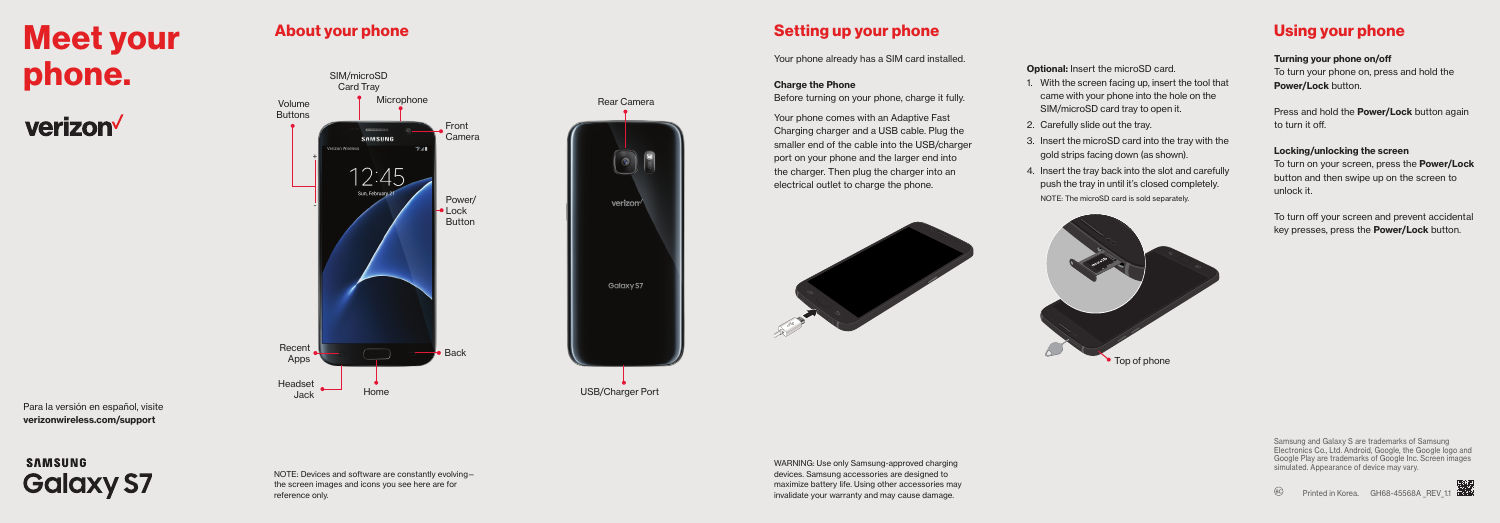# Meet your phone.

verizon<sup>V</sup>



Para la versión en español, visite verizonwireless.com/support

## **SAMSUNG Galaxy S7**

NOTE: Devices and software are constantly evolving the screen images and icons you see here are for reference only.

About your phone  $\blacksquare$ 

Your phone already has a SIM card installed.

Before turning on your phone, charge it fully.

#### **Charge the Phone**

Rear Camera

 $\odot)$ 

USB/Charger Port

Galaxy S7

Your phone comes with an Adaptive Fast Charging charger and a USB cable. Plug the smaller end of the cable into the USB/charger port on your phone and the larger end into the charger. Then plug the charger into an electrical outlet to charge the phone.



#### **Optional: Insert the microSD card.**

- 1. With the screen facing up, insert the tool that came with your phone into the hole on the SIM/microSD card tray to open it.
- 2. Carefully slide out the tray.
- 3. Insert the microSD card into the tray with the gold strips facing down (as shown).
- 4. Insert the tray back into the slot and carefully push the tray in until it's closed completely.



## Using your phone

#### Turning your phone on/off

To turn your phone on, press and hold the Power/Lock button.

Press and hold the **Power/Lock** button again to turn it off.

#### Locking/unlocking the screen

To turn on your screen, press the Power/Lock button and then swipe up on the screen to unlock it.

To turn off your screen and prevent accidental key presses, press the **Power/Lock** button.

WARNING: Use only Samsung-approved charging devices. Samsung accessories are designed to maximize battery life. Using other accessories may invalidate your warranty and may cause damage.

Samsung and Galaxy S are trademarks of Samsung Electronics Co., Ltd. Android, Google, the Google logo and Google Play are trademarks of Google Inc. Screen images simulated. Appearance of device may vary.